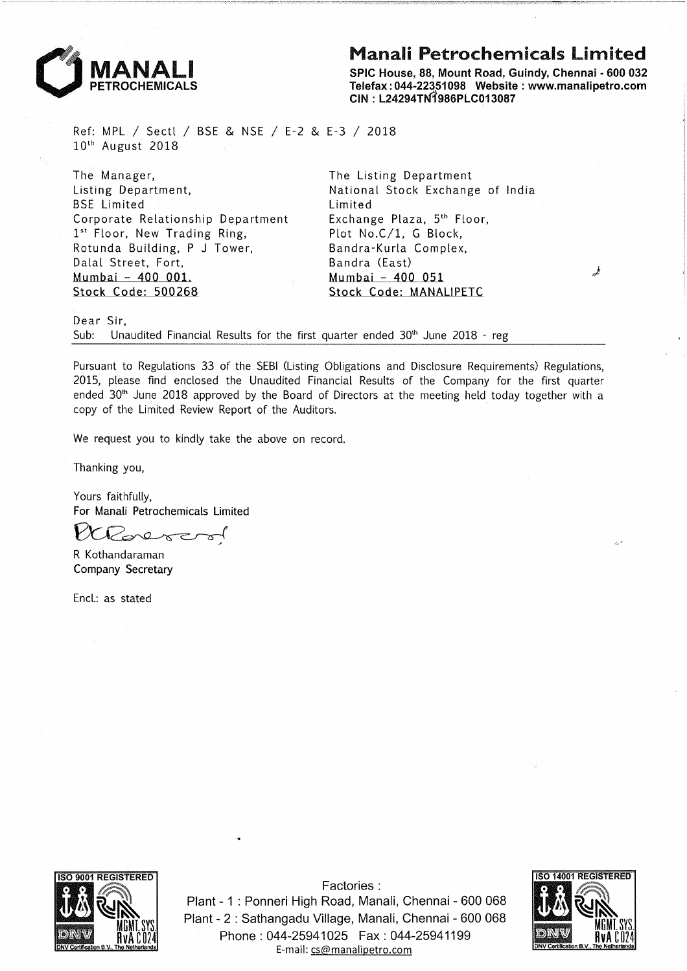## **Manali Petrochemicals Limited**



SPIC House, 88, Mount Road, Guindy, Chennai - 600 032 Telefax : 044-22351098 Website : www.manalipetro.com CIN: L24294TN1986PLC013087

Ref: MPL *I* Sectl *I* BSE & NSE *I* E-2 & E-3 *I* 2018  $10<sup>th</sup>$  August 2018

The Manager, Listing Department, BSE Limited Corporate Relationship Department 1<sup>st</sup> Floor, New Trading Ring, Rotunda Building, P J Tower, Dalal Street, Fort, Mumbai - 400 001 Stock Code: 500268

The Listing Department National Stock Exchange of India Limited Exchange Plaza, 5th Floor, Plot No.C/1, G Block, Bandra-Kurla Complex, Bandra (East) Mumbai - 400 051 Stock Code: MANALIPETC

Dear Sir,

Sub: Unaudited Financial Results for the first quarter ended  $30<sup>th</sup>$  June 2018 - reg

Pursuant to Regulations 33 of the SEBI (Listing Obligations and Disclosure Requirements) Regulations, 2015, please find enclosed the Unaudited Financial Results of the Company for the first quarter ended  $30<sup>th</sup>$  June 2018 approved by the Board of Directors at the meeting held today together with a copy of the Limited Review Report of the Auditors.

We request you to kindly take the above on record.

Thanking you,

Yours faithfully, For Manali Petrochemicals Limited

Wederer

R Kothandaraman Company Secretary

Encl.: as stated



Factories : Plant - 1 : Ponneri High Road, Manali, Chennai - 600 068 Plant - 2 : Sathangadu Village, Manali, Chennai - 600 068 Phone: 044-25941025 Fax: 044-25941199 E-mail: cs@manalipetro.com

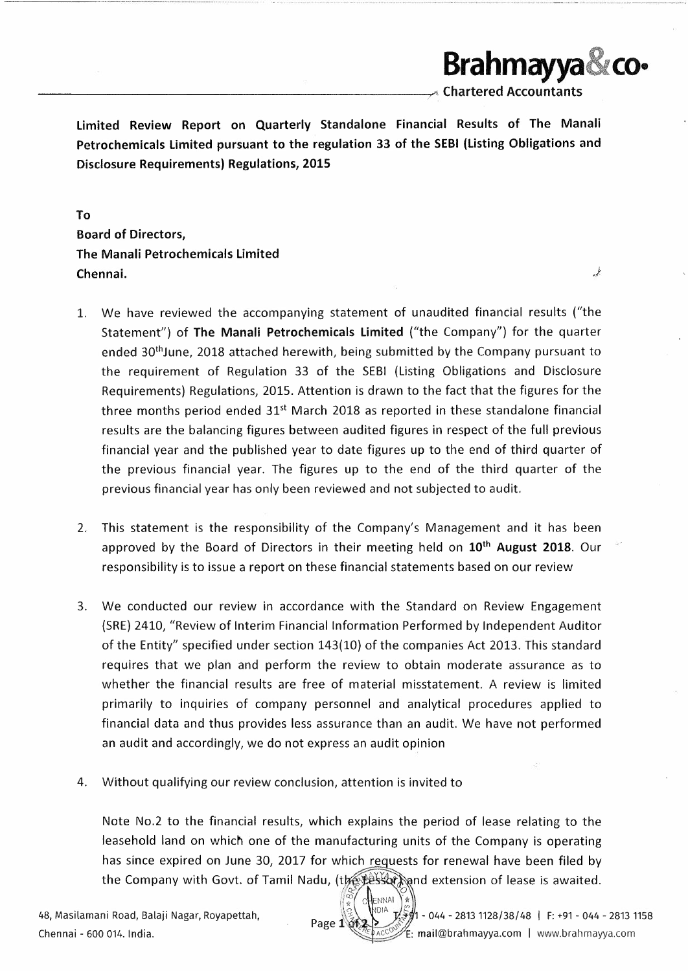\_\_\_\_\_\_\_\_\_\_\_\_\_\_\_\_\_\_\_\_ \_\_\_,...,, Chartered Accountants

**Brahmayya CO•** 

 $\frac{1}{2}$ 

Limited Review Report on Quarterly Standalone Financial Results of The Manali Petrochemicals Limited pursuant to the regulation 33 of the SEBI (Listing Obligations and Disclosure Requirements) Regulations, 2015

To Board of Directors, The Manali Petrochemicals Limited Chennai.

- 1. We have reviewed the accompanying statement of unaudited financial results ("the Statement") of The Manali Petrochemicals Limited ("the Company") for the quarter ended 30<sup>th</sup>June, 2018 attached herewith, being submitted by the Company pursuant to the requirement of Regulation 33 of the SEBI (Listing Obligations and Disclosure Requirements) Regulations, 2015. Attention is drawn to the fact that the figures for the three months period ended  $31<sup>st</sup>$  March 2018 as reported in these standalone financial results are the balancing figures between audited figures in respect of the full previous financial year and the published year to date figures up to the end of third quarter of the previous financial year. The figures up to the end of the third quarter of the previous financial year has only been reviewed and not subjected to audit.
- 2. This statement is the responsibility of the Company's Management and it has been approved by the Board of Directors in their meeting held on 10<sup>th</sup> August 2018. Our responsibility is to issue a report on these financial statements based on our review
- 3. We conducted our review in accordance with the Standard on Review Engagement (SRE) 2410, "Review of Interim Financial Information Performed by Independent Auditor of the Entity" specified under section 143(10) of the companies Act 2013. This standard requires that we plan and perform the review to obtain moderate assurance as to whether the financial results are free of material misstatement. A review is limited primarily to inquiries of company personnel and analytical procedures applied to financial data and thus provides less assurance than an audit. We have not performed an audit and accordingly, we do not express an audit opinion
- 4. Without qualifying our review conclusion, attention is invited to

Note No.2 to the financial results, which explains the period of lease relating to the leasehold land on which one of the manufacturing units of the Company is operating has since expired on June 30, 2017 for which requests for renewal have been filed by the Company with Govt. of Tamil Nadu, (the Lesson and extension of lease is awaited.

ENNAI

48, Masilamani Road, Balaji Nagar, Royapettah, *<:J.,* ·o-~A J 1 - 044 - 2813 1128/38/ 48 I F: +91 - 044 - 2813 1158 Page 1\ ${\phi}$ <sup>+</sup> Chennai - 600 014. India. **Exercise 200 014. India. e.** *e. Accometa Chennay* **E: mail@brahmayya.com | www.brahmayya.com**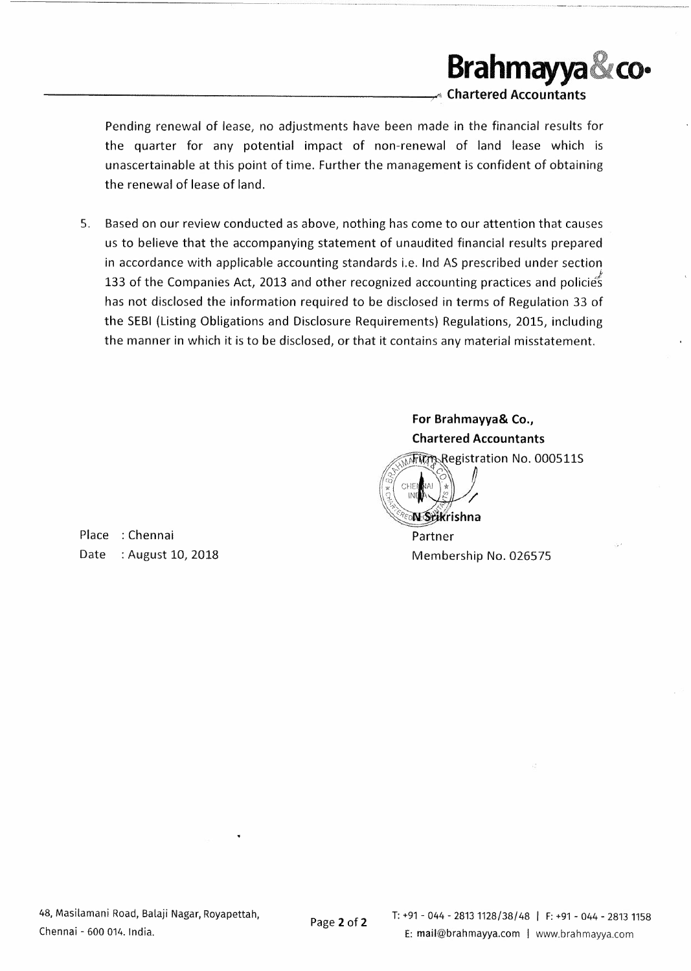

Pending renewal of lease, no adjustments have been made in the financial results for the quarter for any potential impact of non-renewal of land lease which is unascertainable at this point of time. Further the management is confident of obtaining the renewal of lease of land.

5. Based on our review conducted as above, nothing has come to our attention that causes us to believe that the accompanying statement of unaudited financial results prepared in accordance with applicable accounting standards i.e. Ind AS prescribed under section 133 of the Companies Act, 2013 and other recognized accounting practices and policies has not disclosed the information required to be disclosed in terms of Regulation 33 of the SEBI (Listing Obligations and Disclosure Requirements) Regulations, 2015, including the manner in which it is to be disclosed, or that it contains any material misstatement.

Place : Chennai Date : August 10, 2018 **For Brahmayya& Co., Chartered Accountants** 

Firm Registration No. 000511S CHF **N** Stikrishna

Partner Membership No. 026575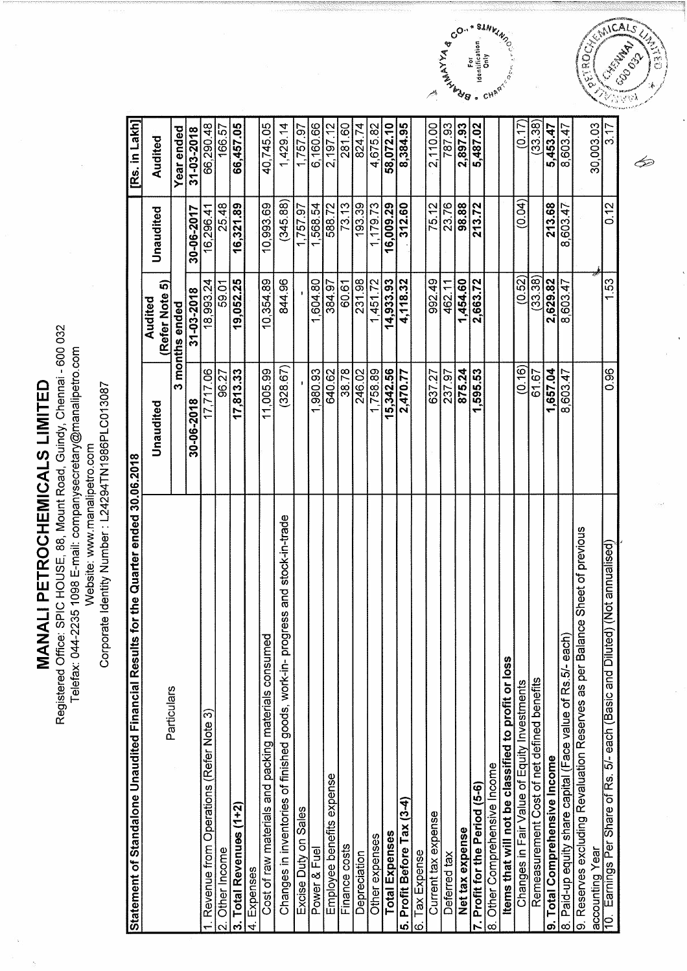MANALI PETROCHEMICALS LIMITED

Registered Office: SPIC HOUSE, 88, Mount Road, Guindy, Chennai - 600 032 Telefax: 044-2235 1098 E-mail: companysecretary@manalipetro.com

Website: www.manalipetro.com<br>Corporate Identity Number : L24294TN1986PLC013087

| Statement of Standalone Unaudited Financial Results for the Quarter ended 30.06.2018               |            |                             |                   | [Rs. in Lakh]    |
|----------------------------------------------------------------------------------------------------|------------|-----------------------------|-------------------|------------------|
| Particulars                                                                                        | Unaudited  | ဂ<br>(Refer Note<br>Audited | Unaudited         | Audited          |
|                                                                                                    |            | 3 months ended              |                   | Year ended       |
|                                                                                                    | 30-06-2018 | 31-03-2018                  | 30-06-2017        | 31-03-2018       |
| Revenue from Operations (Refer Note 3)                                                             | 17,717.06  | 18,993.24                   | 16,296.4          | 66,290.48        |
| Other Income<br>$\overline{\mathbf{N}}$                                                            | 96.27      | 59.01                       | 25.48             | 166.57           |
| Total Revenues (1+2)<br>.<br>೧                                                                     | 17,813.33  | 19,052.25                   | 16,321.89         | 66,457.05        |
| Expenses<br>4                                                                                      |            |                             |                   |                  |
| Cost of raw materials and packing materials consumed                                               | 11,005.99  | 10,354.89                   | 10,993.69         | 40,745.05        |
| and stock-in-trade<br>ess<br>Changes in inventories of finished goods, work-in-progr               | (328.67)   | 844.96                      | (345.88)          | 1,429.14         |
| Excise Duty on Sales                                                                               |            |                             | $\sqrt{1,757.97}$ | 1,757.97         |
| Power & Fuel                                                                                       | 1,980.93   | 1,604.80                    | 1,568.54          | 6,160.66         |
| Employee benefits expense                                                                          | 640.62     | 384.97                      | 588.72            | 2,197.12         |
| Finance costs                                                                                      | 38.78      | 60.61                       | 73.13             | 281.60<br>824.74 |
| Depreciation                                                                                       | 246.02     | 231.98                      | 193.39            |                  |
| Other expenses                                                                                     | 1,758.89   | 1,451.72                    | 1,179.73          | 4,675.82         |
| <b>Total Expenses</b>                                                                              | 15,342.56  | 14,933.93                   | 16,009.29         | 58,072.10        |
| 5. Profit Before Tax (3-4)                                                                         | 2,470.77   | 4,118.32                    | 312.60            | 8,384.95         |
| Tax Expense<br>$\overline{6}$                                                                      |            |                             |                   |                  |
| Current tax expense                                                                                | 637.27     | 992.49                      | 75.12             | 2,110.00         |
| Deferred tax                                                                                       | 237.97     | 462.11                      | 23.76             | 787.93           |
| Net tax expense                                                                                    | 875.24     | 1,454.60                    | 98.88             | 2,897.93         |
| 7. Profit for the Period (5-6)                                                                     | ,595.53    | 2,663.72                    | 213.72            | 5,487.02         |
| Other Comprehensive Income<br>ထ                                                                    |            |                             |                   |                  |
| Items that will not be classified to profit or loss                                                |            |                             |                   |                  |
| Changes in Fair Value of Equity Investments                                                        | (0.16)     | (0.52)                      | (0.04)            | (0.17)           |
| Remeasurement Cost of net defined benefits                                                         | 61.67      | (33.38)                     |                   | (33.38)          |
| 9. Total Comprehensive Income                                                                      | 1.657.04   | 2,629.82                    | 213.68            | 5,453.47         |
| 8. Paid-up equity share capital (Face value of Rs.5/- each)                                        | 8,603.47   | 8,603.47                    | 8,603.47          | 8,603.47         |
| e Sheet of previous<br>9. Reserves excluding Revaluation Reserves as per Balanc<br>accounting Year |            |                             |                   | 30,003.03        |
| (Not annualised)<br>10. Earnings Per Share of Rs. 5/- each (Basic and Diluted)                     | 0.96       | 1.53                        | 0.12              | 3.17             |
|                                                                                                    |            |                             |                   |                  |





Þ